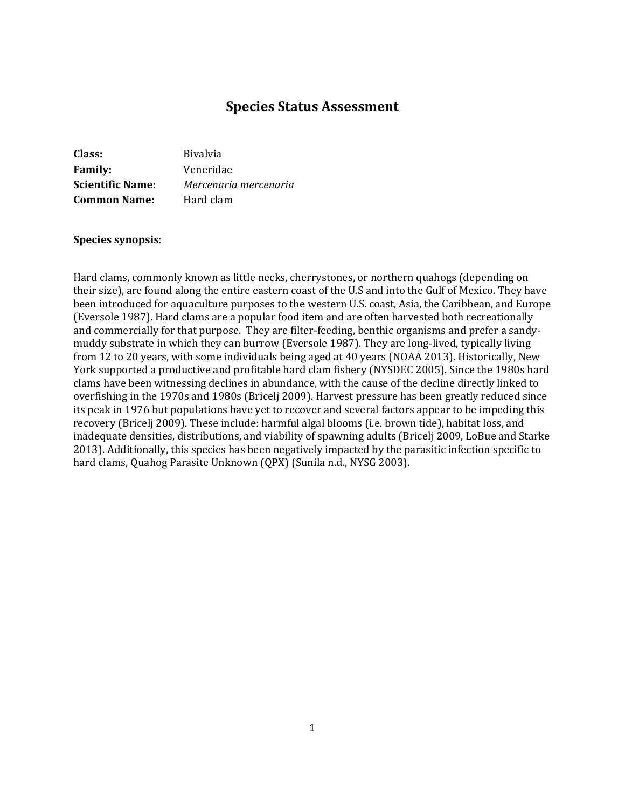# **Species Status Assessment**

| Class:                  | <b>Bivalvia</b>       |
|-------------------------|-----------------------|
| <b>Family:</b>          | Veneridae             |
| <b>Scientific Name:</b> | Mercenaria mercenaria |
| <b>Common Name:</b>     | Hard clam             |

#### **Species synopsis**:

Hard clams, commonly known as little necks, cherrystones, or northern quahogs (depending on their size), are found along the entire eastern coast of the U.S and into the Gulf of Mexico. They have been introduced for aquaculture purposes to the western U.S. coast, Asia, the Caribbean, and Europe (Eversole 1987). Hard clams are a popular food item and are often harvested both recreationally and commercially for that purpose. They are filter-feeding, benthic organisms and prefer a sandymuddy substrate in which they can burrow (Eversole 1987). They are long-lived, typically living from 12 to 20 years, with some individuals being aged at 40 years (NOAA 2013). Historically, New York supported a productive and profitable hard clam fishery (NYSDEC 2005). Since the 1980s hard clams have been witnessing declines in abundance, with the cause of the decline directly linked to overfishing in the 1970s and 1980s (Bricelj 2009). Harvest pressure has been greatly reduced since its peak in 1976 but populations have yet to recover and several factors appear to be impeding this recovery (Bricelj 2009). These include: harmful algal blooms (i.e. brown tide), habitat loss, and inadequate densities, distributions, and viability of spawning adults (Bricelj 2009, LoBue and Starke 2013). Additionally, this species has been negatively impacted by the parasitic infection specific to hard clams, Quahog Parasite Unknown (QPX) (Sunila n.d., NYSG 2003).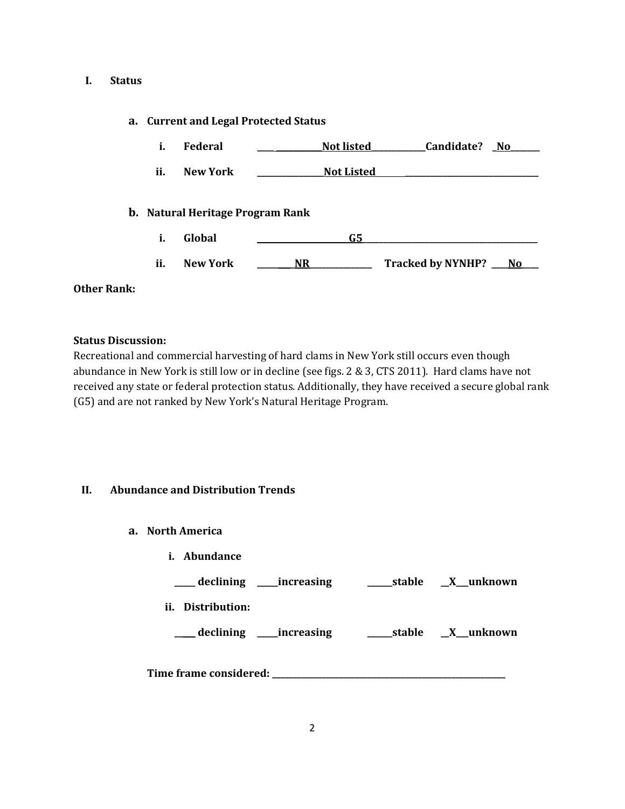## **I. Status**

# **a. Current and Legal Protected Status**

| i.  | Federal                                 | <b>Not listed</b> | Candidate?<br>No.        |     |
|-----|-----------------------------------------|-------------------|--------------------------|-----|
| ii. | <b>New York</b>                         | <b>Not Listed</b> |                          |     |
|     | <b>b.</b> Natural Heritage Program Rank |                   |                          |     |
| i.  | Global                                  | G5                |                          |     |
| ii. | <b>New York</b>                         | <b>NR</b>         | <b>Tracked by NYNHP?</b> | No. |

## **Other Rank:**

## **Status Discussion:**

Recreational and commercial harvesting of hard clams in New York still occurs even though abundance in New York is still low or in decline (see figs. 2 & 3, CTS 2011). Hard clams have not received any state or federal protection status. Additionally, they have received a secure global rank (G5) and are not ranked by New York's Natural Heritage Program.

# **II. Abundance and Distribution Trends**

- **a. North America**
	- **i. Abundance**

| declining _____increasing  | stable | <u>X</u> unknown |
|----------------------------|--------|------------------|
| ii. Distribution:          |        |                  |
| declining ______increasing | stable | $X$ unknown      |
| Time frame considered:     |        |                  |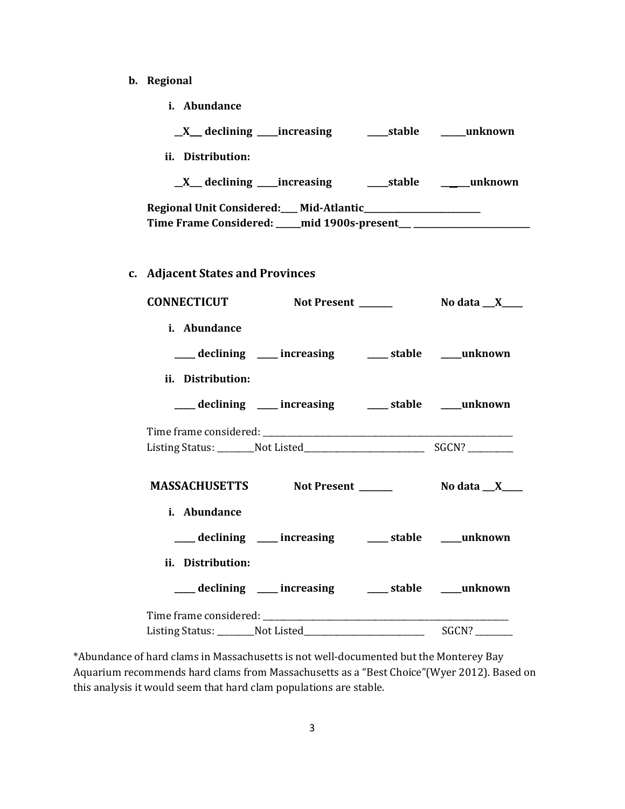- **b. Regional** 
	- **i. Abundance**

| ii. Distribution:                                                                |                 |
|----------------------------------------------------------------------------------|-----------------|
|                                                                                  |                 |
| Time Frame Considered: ____ mid 1900s-present__ ________________________________ |                 |
|                                                                                  |                 |
| c. Adjacent States and Provinces                                                 |                 |
| CONNECTICUT Not Present ______                                                   | No data $\_\_X$ |
| i. Abundance                                                                     |                 |
| ___ declining ___ increasing ___ stable ___ unknown                              |                 |
| ii. Distribution:                                                                |                 |
| ___ declining ___ increasing ___ stable ___ unknown                              |                 |
|                                                                                  |                 |
| MASSACHUSETTS Not Present _______ No data _X___                                  |                 |
| i. Abundance                                                                     |                 |
| ___ declining ___ increasing ___ stable ___ unknown                              |                 |
| ii. Distribution:                                                                |                 |
| ___ declining ___ increasing ___ stable ___unknown                               |                 |
|                                                                                  |                 |
| Listing Status: _________Not Listed____                                          | SGCN?           |

\*Abundance of hard clams in Massachusetts is not well-documented but the Monterey Bay Aquarium recommends hard clams from Massachusetts as a "Best Choice"(Wyer 2012). Based on this analysis it would seem that hard clam populations are stable.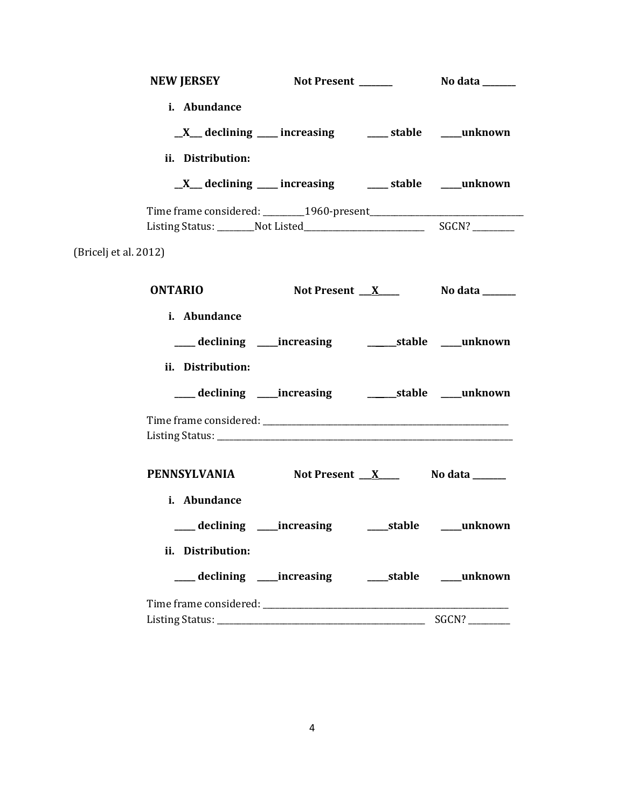|                       | i. Abundance      |                                                              |            |
|-----------------------|-------------------|--------------------------------------------------------------|------------|
|                       |                   | _X__ declining ___ increasing ____ stable ____ unknown       |            |
|                       | ii. Distribution: |                                                              |            |
|                       |                   | _X__ declining ___ increasing ____ stable ___ unknown        |            |
|                       |                   |                                                              |            |
| (Bricelj et al. 2012) |                   |                                                              |            |
|                       |                   |                                                              |            |
|                       | <b>ONTARIO</b>    | Not Present $X_{\text{max}}$ No data $X_{\text{max}}$        |            |
|                       | i. Abundance      |                                                              |            |
|                       |                   | ___ declining ____increasing _____________stable ____unknown |            |
|                       | ii. Distribution: |                                                              |            |
|                       |                   | ___ declining ____increasing _____________stable ____unknown |            |
|                       |                   |                                                              |            |
|                       |                   | PENNSYLVANIA Not Present X No data _____                     |            |
|                       | i. Abundance      |                                                              |            |
|                       |                   | ____ declining ____ increasing ______ stable                 | ___unknown |
|                       | ii. Distribution: |                                                              |            |
|                       |                   |                                                              |            |
|                       |                   |                                                              |            |
|                       |                   |                                                              | SGCN?      |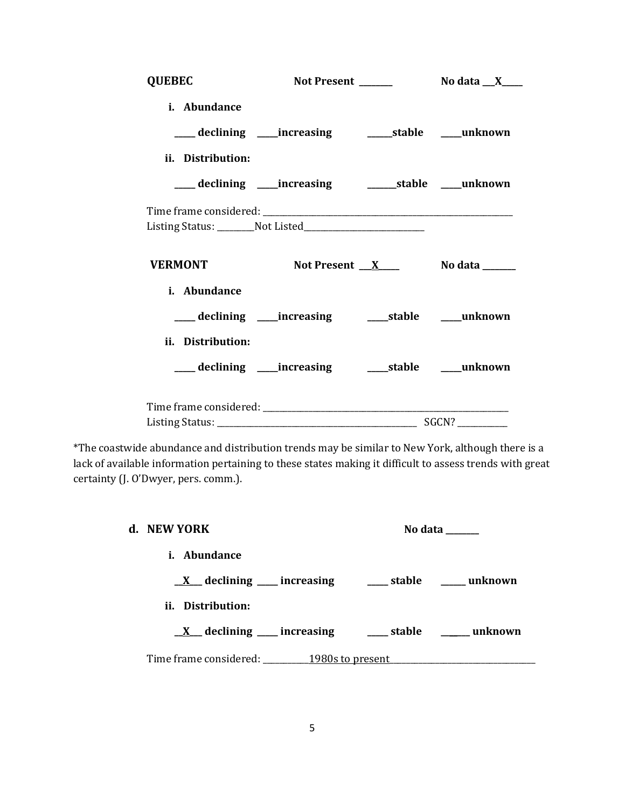| <b>QUEBEC</b>     |                                                              |                             |  |
|-------------------|--------------------------------------------------------------|-----------------------------|--|
| i. Abundance      |                                                              |                             |  |
|                   | ___ declining ____increasing ____________stable _____unknown |                             |  |
| ii. Distribution: |                                                              |                             |  |
|                   | ___ declining ____increasing ____________stable ____unknown  |                             |  |
|                   |                                                              |                             |  |
|                   |                                                              |                             |  |
| <b>VERMONT</b>    |                                                              | Not Present $X$ No data $X$ |  |
| i. Abundance      |                                                              |                             |  |
|                   | ___ declining ____increasing ______stable _____unknown       |                             |  |
| ii. Distribution: |                                                              |                             |  |
|                   | ___ declining ____increasing ______stable ____unknown        |                             |  |
|                   |                                                              |                             |  |
|                   |                                                              |                             |  |

\*The coastwide abundance and distribution trends may be similar to New York, although there is a lack of available information pertaining to these states making it difficult to assess trends with great certainty (J. O'Dwyer, pers. comm.).

| d. NEW YORK                                                       |  | No data $\_\_\_\_\_\_\_\_\_\_\_\_\$ |
|-------------------------------------------------------------------|--|-------------------------------------|
| <i>i.</i> Abundance                                               |  |                                     |
| $\underline{X}$ declining ___ increasing ____ stable ____ unknown |  |                                     |
| ii. Distribution:                                                 |  |                                     |
| $X$ declining increasing $X$ stable $X$ unknown                   |  |                                     |
| Time frame considered: 1980s to present                           |  |                                     |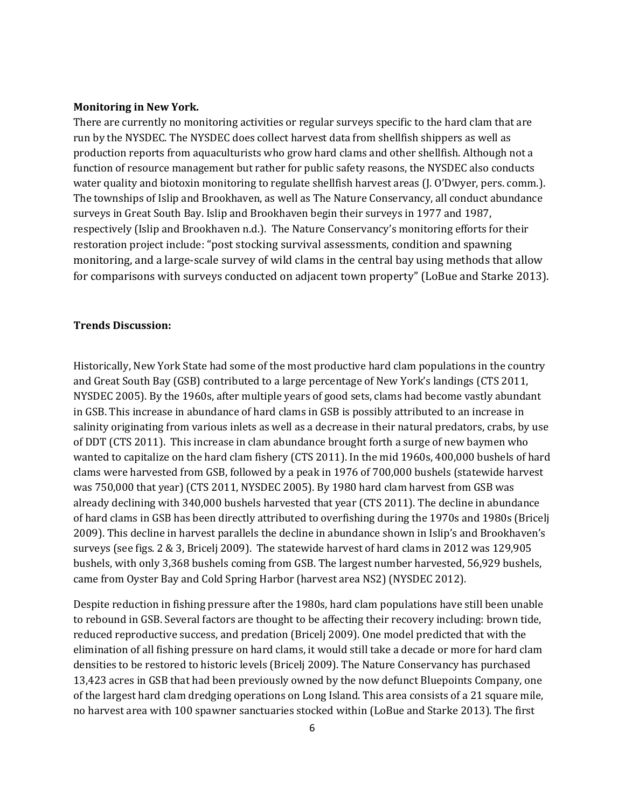#### **Monitoring in New York.**

There are currently no monitoring activities or regular surveys specific to the hard clam that are run by the NYSDEC. The NYSDEC does collect harvest data from shellfish shippers as well as production reports from aquaculturists who grow hard clams and other shellfish. Although not a function of resource management but rather for public safety reasons, the NYSDEC also conducts water quality and biotoxin monitoring to regulate shellfish harvest areas (J. O'Dwyer, pers. comm.). The townships of Islip and Brookhaven, as well as The Nature Conservancy, all conduct abundance surveys in Great South Bay. Islip and Brookhaven begin their surveys in 1977 and 1987, respectively (Islip and Brookhaven n.d.). The Nature Conservancy's monitoring efforts for their restoration project include: "post stocking survival assessments, condition and spawning monitoring, and a large-scale survey of wild clams in the central bay using methods that allow for comparisons with surveys conducted on adjacent town property" (LoBue and Starke 2013).

#### **Trends Discussion:**

Historically, New York State had some of the most productive hard clam populations in the country and Great South Bay (GSB) contributed to a large percentage of New York's landings (CTS 2011, NYSDEC 2005). By the 1960s, after multiple years of good sets, clams had become vastly abundant in GSB. This increase in abundance of hard clams in GSB is possibly attributed to an increase in salinity originating from various inlets as well as a decrease in their natural predators, crabs, by use of DDT (CTS 2011). This increase in clam abundance brought forth a surge of new baymen who wanted to capitalize on the hard clam fishery (CTS 2011). In the mid 1960s, 400,000 bushels of hard clams were harvested from GSB, followed by a peak in 1976 of 700,000 bushels (statewide harvest was 750,000 that year) (CTS 2011, NYSDEC 2005). By 1980 hard clam harvest from GSB was already declining with 340,000 bushels harvested that year (CTS 2011). The decline in abundance of hard clams in GSB has been directly attributed to overfishing during the 1970s and 1980s (Bricelj 2009). This decline in harvest parallels the decline in abundance shown in Islip's and Brookhaven's surveys (see figs. 2 & 3, Bricelj 2009). The statewide harvest of hard clams in 2012 was 129,905 bushels, with only 3,368 bushels coming from GSB. The largest number harvested, 56,929 bushels, came from Oyster Bay and Cold Spring Harbor (harvest area NS2) (NYSDEC 2012).

Despite reduction in fishing pressure after the 1980s, hard clam populations have still been unable to rebound in GSB. Several factors are thought to be affecting their recovery including: brown tide, reduced reproductive success, and predation (Bricelj 2009). One model predicted that with the elimination of all fishing pressure on hard clams, it would still take a decade or more for hard clam densities to be restored to historic levels (Bricelj 2009). The Nature Conservancy has purchased 13,423 acres in GSB that had been previously owned by the now defunct Bluepoints Company, one of the largest hard clam dredging operations on Long Island. This area consists of a 21 square mile, no harvest area with 100 spawner sanctuaries stocked within (LoBue and Starke 2013). The first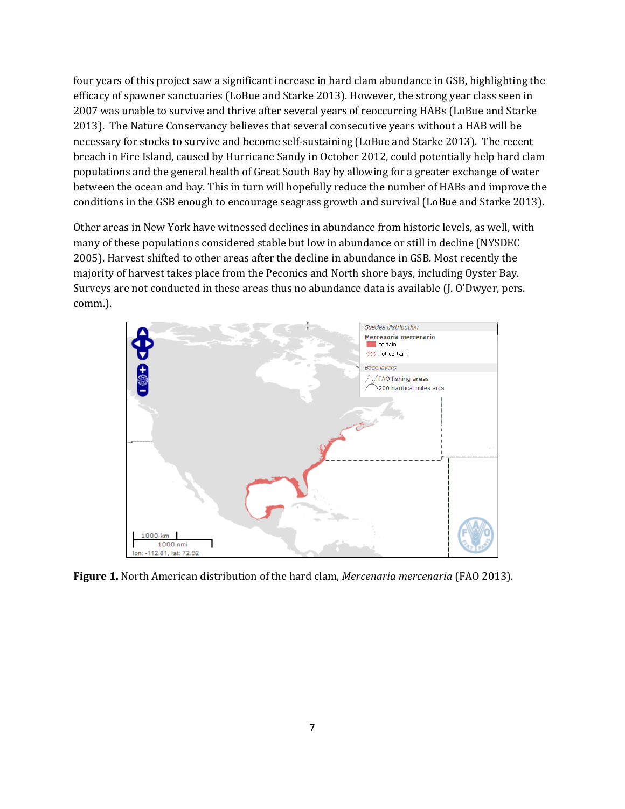four years of this project saw a significant increase in hard clam abundance in GSB, highlighting the efficacy of spawner sanctuaries (LoBue and Starke 2013). However, the strong year class seen in 2007 was unable to survive and thrive after several years of reoccurring HABs (LoBue and Starke 2013). The Nature Conservancy believes that several consecutive years without a HAB will be necessary for stocks to survive and become self-sustaining (LoBue and Starke 2013). The recent breach in Fire Island, caused by Hurricane Sandy in October 2012, could potentially help hard clam populations and the general health of Great South Bay by allowing for a greater exchange of water between the ocean and bay. This in turn will hopefully reduce the number of HABs and improve the conditions in the GSB enough to encourage seagrass growth and survival (LoBue and Starke 2013).

Other areas in New York have witnessed declines in abundance from historic levels, as well, with many of these populations considered stable but low in abundance or still in decline (NYSDEC 2005). Harvest shifted to other areas after the decline in abundance in GSB. Most recently the majority of harvest takes place from the Peconics and North shore bays, including Oyster Bay. Surveys are not conducted in these areas thus no abundance data is available (J. O'Dwyer, pers. comm.).



**Figure 1.** North American distribution of the hard clam, *Mercenaria mercenaria* (FAO 2013).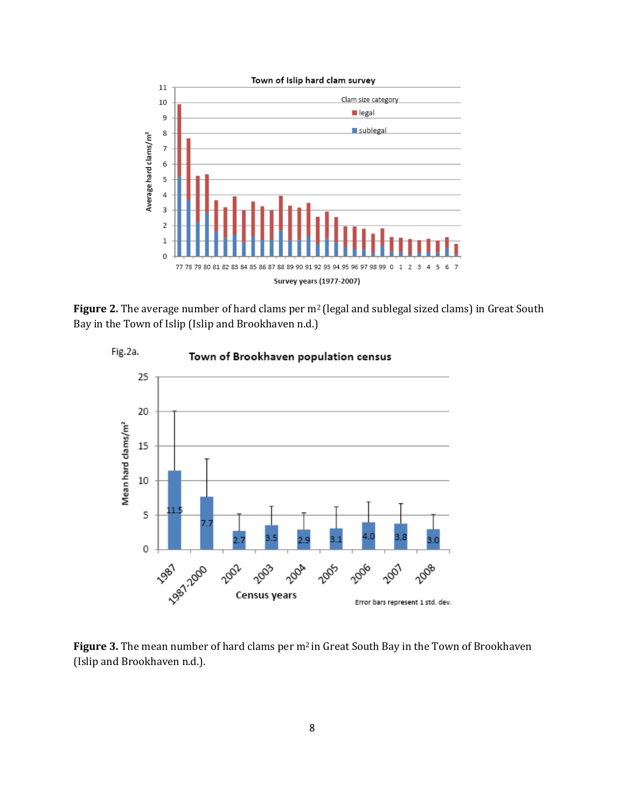

Figure 2. The average number of hard clams per m<sup>2</sup> (legal and sublegal sized clams) in Great South Bay in the Town of Islip (Islip and Brookhaven n.d.)



Figure 3. The mean number of hard clams per m<sup>2</sup> in Great South Bay in the Town of Brookhaven (Islip and Brookhaven n.d.).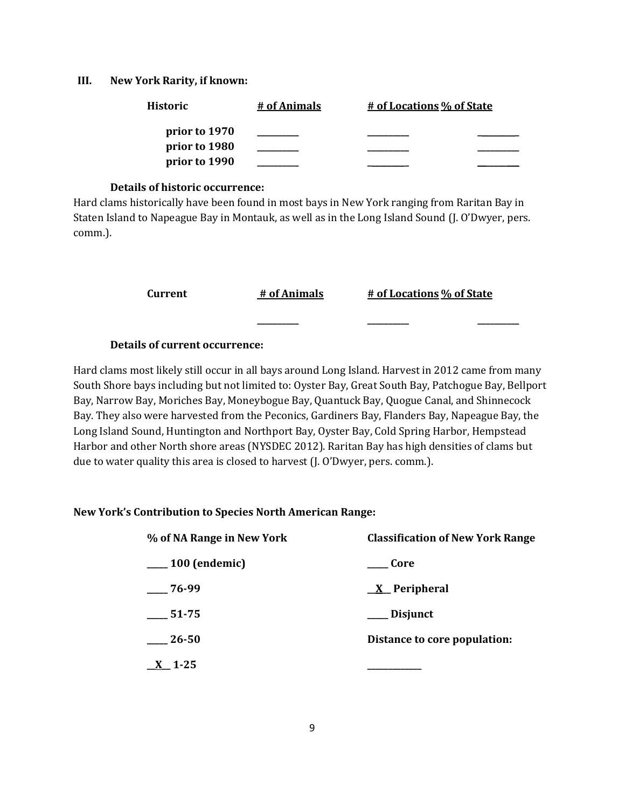#### **III. New York Rarity, if known:**

| <b>Historic</b> | # of Animals | # of Locations % of State |  |
|-----------------|--------------|---------------------------|--|
| prior to 1970   |              |                           |  |
| prior to 1980   |              |                           |  |
| prior to 1990   |              |                           |  |

## **Details of historic occurrence:**

Hard clams historically have been found in most bays in New York ranging from Raritan Bay in Staten Island to Napeague Bay in Montauk, as well as in the Long Island Sound (J. O'Dwyer, pers. comm.).

**Current # of Animals # of Locations % of State**

**\_\_\_\_\_\_\_\_\_\_ \_\_\_\_\_\_\_\_\_\_ \_\_\_\_\_\_\_\_\_\_**

## **Details of current occurrence:**

Hard clams most likely still occur in all bays around Long Island. Harvest in 2012 came from many South Shore bays including but not limited to: Oyster Bay, Great South Bay, Patchogue Bay, Bellport Bay, Narrow Bay, Moriches Bay, Moneybogue Bay, Quantuck Bay, Quogue Canal, and Shinnecock Bay. They also were harvested from the Peconics, Gardiners Bay, Flanders Bay, Napeague Bay, the Long Island Sound, Huntington and Northport Bay, Oyster Bay, Cold Spring Harbor, Hempstead Harbor and other North shore areas (NYSDEC 2012). Raritan Bay has high densities of clams but due to water quality this area is closed to harvest (J. O'Dwyer, pers. comm.).

#### **New York's Contribution to Species North American Range:**

| % of NA Range in New York | <b>Classification of New York Range</b> |  |
|---------------------------|-----------------------------------------|--|
| $\frac{100}{2}$ (endemic) | Core                                    |  |
| $-76-99$                  | $X$ Peripheral                          |  |
| $\frac{1}{2}$ 51-75       | ___ Disjunct                            |  |
| $\frac{26-50}{2}$         | Distance to core population:            |  |
| $\underline{X}$ 1-25      |                                         |  |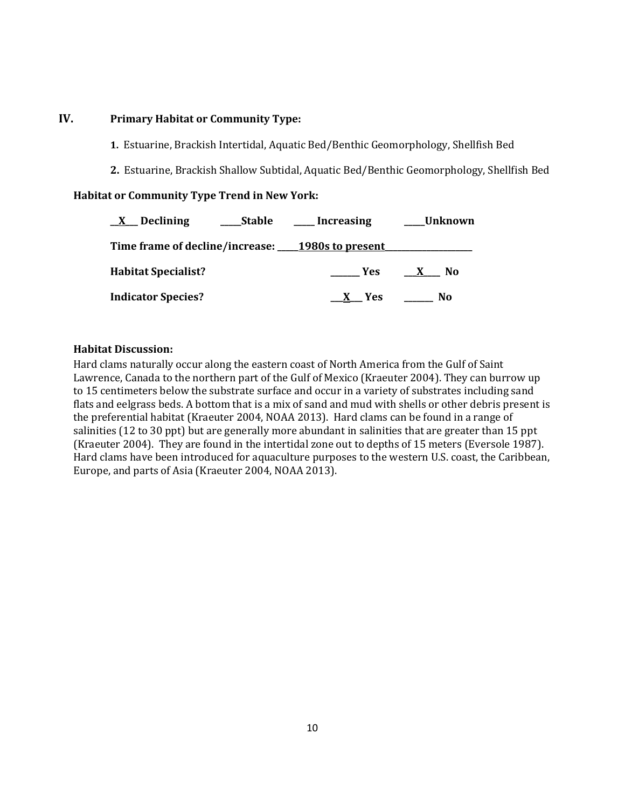# **IV. Primary Habitat or Community Type:**

- **1.** Estuarine, Brackish Intertidal, Aquatic Bed/Benthic Geomorphology, Shellfish Bed
- **2.** Estuarine, Brackish Shallow Subtidal, Aquatic Bed/Benthic Geomorphology, Shellfish Bed

#### **Habitat or Community Type Trend in New York:**

| $\underline{X}$ Declining<br><b>Stable</b>       | ____ Increasing | ___Unknown          |
|--------------------------------------------------|-----------------|---------------------|
| Time frame of decline/increase: 1980s to present |                 |                     |
| <b>Habitat Specialist?</b>                       | Yes             | $\mathbf{X}$<br>No. |
| <b>Indicator Species?</b>                        | X Yes           | No.                 |

## **Habitat Discussion:**

Hard clams naturally occur along the eastern coast of North America from the Gulf of Saint Lawrence, Canada to the northern part of the Gulf of Mexico (Kraeuter 2004). They can burrow up to 15 centimeters below the substrate surface and occur in a variety of substrates including sand flats and eelgrass beds. A bottom that is a mix of sand and mud with shells or other debris present is the preferential habitat (Kraeuter 2004, NOAA 2013). Hard clams can be found in a range of salinities (12 to 30 ppt) but are generally more abundant in salinities that are greater than 15 ppt (Kraeuter 2004). They are found in the intertidal zone out to depths of 15 meters (Eversole 1987). Hard clams have been introduced for aquaculture purposes to the western U.S. coast, the Caribbean, Europe, and parts of Asia (Kraeuter 2004, NOAA 2013).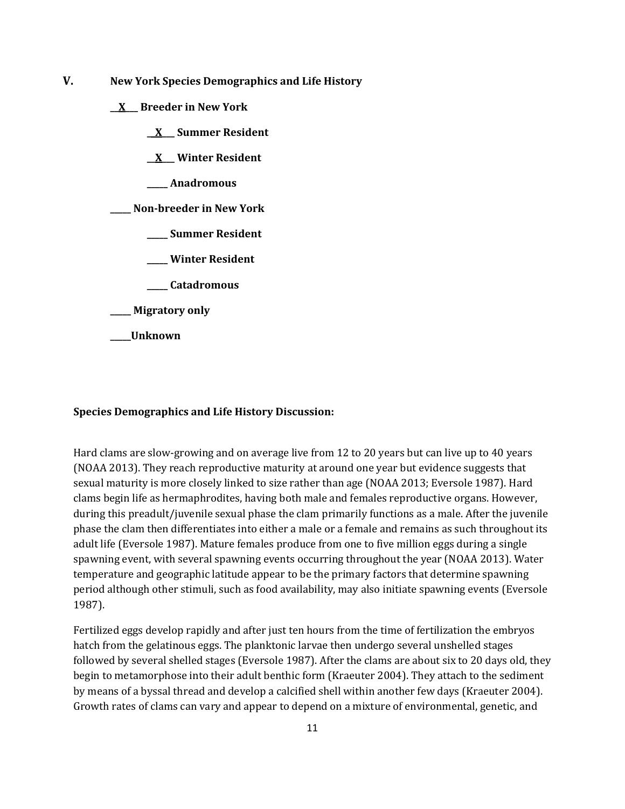- **V. New York Species Demographics and Life History**
	- **\_\_X\_\_\_ Breeder in New York**
		- **\_\_X\_\_\_ Summer Resident**

**\_\_X\_\_\_ Winter Resident**

**\_\_\_\_\_ Anadromous**

**\_\_\_\_\_ Non-breeder in New York**

- **\_\_\_\_\_ Summer Resident**
- **\_\_\_\_\_ Winter Resident**
- **\_\_\_\_\_ Catadromous**
- **\_\_\_\_\_ Migratory only**

**\_\_\_\_\_Unknown**

#### **Species Demographics and Life History Discussion:**

Hard clams are slow-growing and on average live from 12 to 20 years but can live up to 40 years (NOAA 2013). They reach reproductive maturity at around one year but evidence suggests that sexual maturity is more closely linked to size rather than age (NOAA 2013; Eversole 1987). Hard clams begin life as hermaphrodites, having both male and females reproductive organs. However, during this preadult/juvenile sexual phase the clam primarily functions as a male. After the juvenile phase the clam then differentiates into either a male or a female and remains as such throughout its adult life (Eversole 1987). Mature females produce from one to five million eggs during a single spawning event, with several spawning events occurring throughout the year (NOAA 2013). Water temperature and geographic latitude appear to be the primary factors that determine spawning period although other stimuli, such as food availability, may also initiate spawning events (Eversole 1987).

Fertilized eggs develop rapidly and after just ten hours from the time of fertilization the embryos hatch from the gelatinous eggs. The planktonic larvae then undergo several unshelled stages followed by several shelled stages (Eversole 1987). After the clams are about six to 20 days old, they begin to metamorphose into their adult benthic form (Kraeuter 2004). They attach to the sediment by means of a byssal thread and develop a calcified shell within another few days (Kraeuter 2004). Growth rates of clams can vary and appear to depend on a mixture of environmental, genetic, and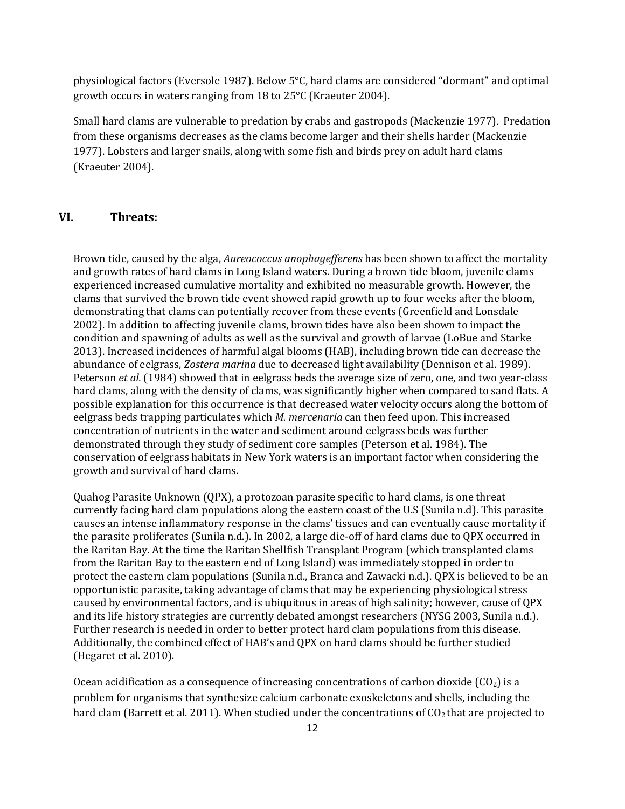physiological factors (Eversole 1987). Below 5°C, hard clams are considered "dormant" and optimal growth occurs in waters ranging from 18 to 25°C (Kraeuter 2004).

Small hard clams are vulnerable to predation by crabs and gastropods (Mackenzie 1977). Predation from these organisms decreases as the clams become larger and their shells harder (Mackenzie 1977). Lobsters and larger snails, along with some fish and birds prey on adult hard clams (Kraeuter 2004).

# **VI. Threats:**

Brown tide, caused by the alga, *Aureococcus anophagefferens* has been shown to affect the mortality and growth rates of hard clams in Long Island waters. During a brown tide bloom, juvenile clams experienced increased cumulative mortality and exhibited no measurable growth. However, the clams that survived the brown tide event showed rapid growth up to four weeks after the bloom, demonstrating that clams can potentially recover from these events (Greenfield and Lonsdale 2002). In addition to affecting juvenile clams, brown tides have also been shown to impact the condition and spawning of adults as well as the survival and growth of larvae (LoBue and Starke 2013). Increased incidences of harmful algal blooms (HAB), including brown tide can decrease the abundance of eelgrass, *Zostera marina* due to decreased light availability (Dennison et al. 1989). Peterson *et al.* (1984) showed that in eelgrass beds the average size of zero, one, and two year-class hard clams, along with the density of clams, was significantly higher when compared to sand flats. A possible explanation for this occurrence is that decreased water velocity occurs along the bottom of eelgrass beds trapping particulates which *M. mercenaria* can then feed upon. This increased concentration of nutrients in the water and sediment around eelgrass beds was further demonstrated through they study of sediment core samples (Peterson et al. 1984). The conservation of eelgrass habitats in New York waters is an important factor when considering the growth and survival of hard clams.

Quahog Parasite Unknown (QPX), a protozoan parasite specific to hard clams, is one threat currently facing hard clam populations along the eastern coast of the U.S (Sunila n.d). This parasite causes an intense inflammatory response in the clams' tissues and can eventually cause mortality if the parasite proliferates (Sunila n.d.). In 2002, a large die-off of hard clams due to QPX occurred in the Raritan Bay. At the time the Raritan Shellfish Transplant Program (which transplanted clams from the Raritan Bay to the eastern end of Long Island) was immediately stopped in order to protect the eastern clam populations (Sunila n.d., Branca and Zawacki n.d.). QPX is believed to be an opportunistic parasite, taking advantage of clams that may be experiencing physiological stress caused by environmental factors, and is ubiquitous in areas of high salinity; however, cause of QPX and its life history strategies are currently debated amongst researchers (NYSG 2003, Sunila n.d.). Further research is needed in order to better protect hard clam populations from this disease. Additionally, the combined effect of HAB's and QPX on hard clams should be further studied (Hegaret et al. 2010).

Ocean acidification as a consequence of increasing concentrations of carbon dioxide  $(CO<sub>2</sub>)$  is a problem for organisms that synthesize calcium carbonate exoskeletons and shells, including the hard clam (Barrett et al. 2011). When studied under the concentrations of  $CO<sub>2</sub>$  that are projected to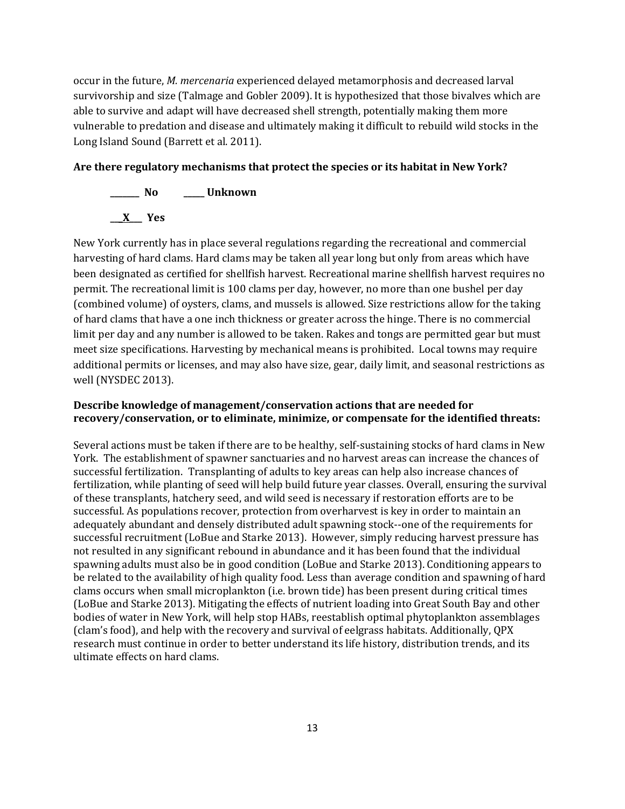occur in the future, *M. mercenaria* experienced delayed metamorphosis and decreased larval survivorship and size (Talmage and Gobler 2009). It is hypothesized that those bivalves which are able to survive and adapt will have decreased shell strength, potentially making them more vulnerable to predation and disease and ultimately making it difficult to rebuild wild stocks in the Long Island Sound (Barrett et al. 2011).

## **Are there regulatory mechanisms that protect the species or its habitat in New York?**

**\_\_\_\_\_\_\_ No \_\_\_\_\_ Unknown \_\_\_X\_\_\_ Yes**

New York currently has in place several regulations regarding the recreational and commercial harvesting of hard clams. Hard clams may be taken all year long but only from areas which have been designated as certified for shellfish harvest. Recreational marine shellfish harvest requires no permit. The recreational limit is 100 clams per day, however, no more than one bushel per day (combined volume) of oysters, clams, and mussels is allowed. Size restrictions allow for the taking of hard clams that have a one inch thickness or greater across the hinge. There is no commercial limit per day and any number is allowed to be taken. Rakes and tongs are permitted gear but must meet size specifications. Harvesting by mechanical means is prohibited. Local towns may require additional permits or licenses, and may also have size, gear, daily limit, and seasonal restrictions as well (NYSDEC 2013).

# **Describe knowledge of management/conservation actions that are needed for recovery/conservation, or to eliminate, minimize, or compensate for the identified threats:**

Several actions must be taken if there are to be healthy, self-sustaining stocks of hard clams in New York. The establishment of spawner sanctuaries and no harvest areas can increase the chances of successful fertilization. Transplanting of adults to key areas can help also increase chances of fertilization, while planting of seed will help build future year classes. Overall, ensuring the survival of these transplants, hatchery seed, and wild seed is necessary if restoration efforts are to be successful. As populations recover, protection from overharvest is key in order to maintain an adequately abundant and densely distributed adult spawning stock--one of the requirements for successful recruitment (LoBue and Starke 2013). However, simply reducing harvest pressure has not resulted in any significant rebound in abundance and it has been found that the individual spawning adults must also be in good condition (LoBue and Starke 2013). Conditioning appears to be related to the availability of high quality food. Less than average condition and spawning of hard clams occurs when small microplankton (i.e. brown tide) has been present during critical times (LoBue and Starke 2013). Mitigating the effects of nutrient loading into Great South Bay and other bodies of water in New York, will help stop HABs, reestablish optimal phytoplankton assemblages (clam's food), and help with the recovery and survival of eelgrass habitats. Additionally, QPX research must continue in order to better understand its life history, distribution trends, and its ultimate effects on hard clams.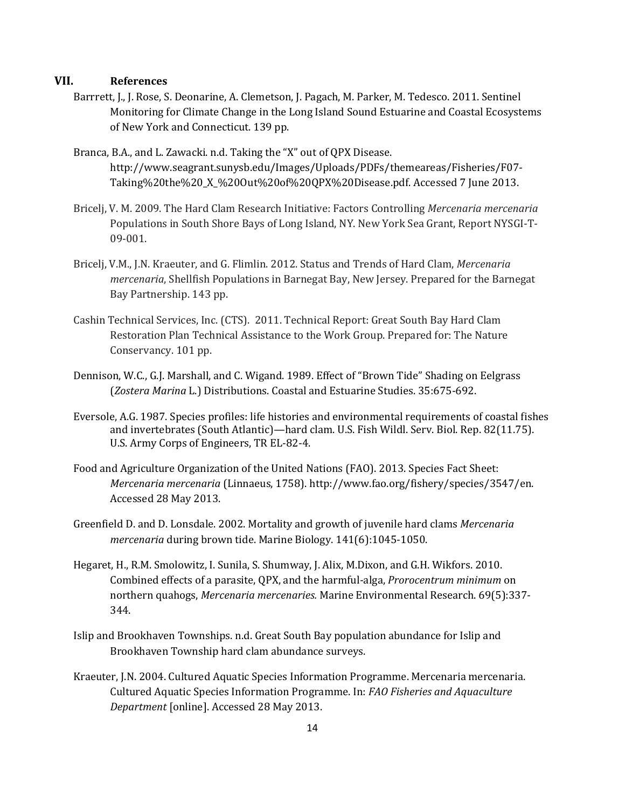## **VII. References**

- Barrrett, J., J. Rose, S. Deonarine, A. Clemetson, J. Pagach, M. Parker, M. Tedesco. 2011. Sentinel Monitoring for Climate Change in the Long Island Sound Estuarine and Coastal Ecosystems of New York and Connecticut. 139 pp.
- Branca, B.A., and L. Zawacki. n.d. Taking the "X" out of QPX Disease. http://www.seagrant.sunysb.edu/Images/Uploads/PDFs/themeareas/Fisheries/F07- Taking%20the%20\_X\_%20Out%20of%20QPX%20Disease.pdf. Accessed 7 June 2013.
- Bricelj, V. M. 2009. The Hard Clam Research Initiative: Factors Controlling *Mercenaria mercenaria*  Populations in South Shore Bays of Long Island, NY. New York Sea Grant, Report NYSGI-T-09-001.
- Bricelj, V.M., J.N. Kraeuter, and G. Flimlin. 2012. Status and Trends of Hard Clam, *Mercenaria mercenaria*, Shellfish Populations in Barnegat Bay, New Jersey. Prepared for the Barnegat Bay Partnership. 143 pp.
- Cashin Technical Services, Inc. (CTS). 2011. Technical Report: Great South Bay Hard Clam Restoration Plan Technical Assistance to the Work Group. Prepared for: The Nature Conservancy. 101 pp.
- Dennison, W.C., G.J. Marshall, and C. Wigand. 1989. Effect of "Brown Tide" Shading on Eelgrass (*Zostera Marina* L.) Distributions. Coastal and Estuarine Studies. 35:675-692.
- Eversole, A.G. 1987. Species profiles: life histories and environmental requirements of coastal fishes and invertebrates (South Atlantic)—hard clam. U.S. Fish Wildl. Serv. Biol. Rep. 82(11.75). U.S. Army Corps of Engineers, TR EL-82-4.
- Food and Agriculture Organization of the United Nations (FAO). 2013. Species Fact Sheet: *Mercenaria mercenaria* (Linnaeus, 1758). http://www.fao.org/fishery/species/3547/en. Accessed 28 May 2013.
- Greenfield D. and D. Lonsdale. 2002. Mortality and growth of juvenile hard clams *Mercenaria mercenaria* during brown tide. Marine Biology. 141(6):1045-1050.
- Hegaret, H., R.M. Smolowitz, I. Sunila, S. Shumway, J. Alix, M.Dixon, and G.H. Wikfors. 2010. Combined effects of a parasite, QPX, and the harmful-alga, *Prorocentrum minimum* on northern quahogs, *Mercenaria mercenaries.* Marine Environmental Research. 69(5):337- 344.
- Islip and Brookhaven Townships. n.d. Great South Bay population abundance for Islip and Brookhaven Township hard clam abundance surveys.
- Kraeuter, J.N. 2004. Cultured Aquatic Species Information Programme. Mercenaria mercenaria. Cultured Aquatic Species Information Programme. In: *FAO Fisheries and Aquaculture Department* [online]. Accessed 28 May 2013.